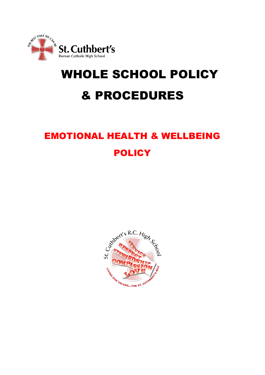

# WHOLE SCHOOL POLICY & PROCEDURES

# EMOTIONAL HEALTH & WELLBEING **POLICY**

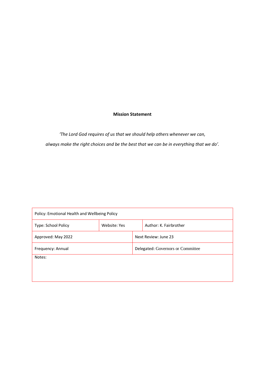#### **Mission Statement**

*'The Lord God requires of us that we should help others whenever we can, always make the right choices and be the best that we can be in everything that we do'.*

| Policy: Emotional Health and Wellbeing Policy |              |                                   |                        |
|-----------------------------------------------|--------------|-----------------------------------|------------------------|
| Type: School Policy                           | Website: Yes |                                   | Author: K. Fairbrother |
| Approved: May 2022                            |              | Next Review: June 23              |                        |
| Frequency: Annual                             |              | Delegated: Governors or Committee |                        |
| Notes:                                        |              |                                   |                        |
|                                               |              |                                   |                        |
|                                               |              |                                   |                        |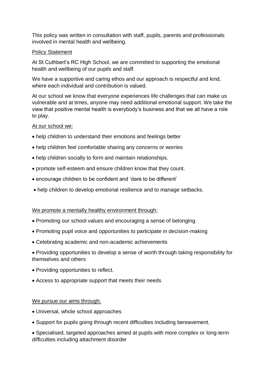This policy was written in consultation with staff, pupils, parents and professionals involved in mental health and wellbeing.

## Policy Statement

At St Cuthbert's RC High School, we are committed to supporting the emotional health and wellbeing of our pupils and staff.

We have a supportive and caring ethos and our approach is respectful and kind, where each individual and contribution is valued.

At our school we know that everyone experiences life challenges that can make us vulnerable and at times, anyone may need additional emotional support. We take the view that positive mental health is everybody's business and that we all have a role to play.

## At our school we:

- help children to understand their emotions and feelings better
- help children feel comfortable sharing any concerns or worries
- help children socially to form and maintain relationships.
- promote self-esteem and ensure children know that they count.
- encourage children to be confident and 'dare to be different'
- help children to develop emotional resilience and to manage setbacks.

#### We promote a mentally healthy environment through:

- Promoting our school values and encouraging a sense of belonging.
- Promoting pupil voice and opportunities to participate in decision-making
- Celebrating academic and non-academic achievements
- Providing opportunities to develop a sense of worth through taking responsibility for themselves and others
- Providing opportunities to reflect.
- Access to appropriate support that meets their needs

#### We pursue our aims through:

- Universal, whole school approaches
- Support for pupils going through recent difficulties including bereavement.

• Specialised, targeted approaches aimed at pupils with more complex or long-term difficulties including attachment disorder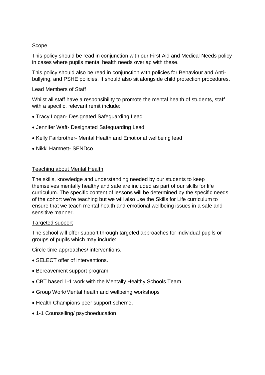# Scope

This policy should be read in conjunction with our First Aid and Medical Needs policy in cases where pupils mental health needs overlap with these.

This policy should also be read in conjunction with policies for Behaviour and Antibullying, and PSHE policies. It should also sit alongside child protection procedures.

# Lead Members of Staff

Whilst all staff have a responsibility to promote the mental health of students, staff with a specific, relevant remit include:

- Tracy Logan- Designated Safeguarding Lead
- Jennifer Waft- Designated Safeguarding Lead
- Kelly Fairbrother- Mental Health and Emotional wellbeing lead
- Nikki Hamnett- SENDco

# Teaching about Mental Health

The skills, knowledge and understanding needed by our students to keep themselves mentally healthy and safe are included as part of our skills for life curriculum. The specific content of lessons will be determined by the specific needs of the cohort we're teaching but we will also use the Skills for Life curriculum to ensure that we teach mental health and emotional wellbeing issues in a safe and sensitive manner.

# Targeted support

The school will offer support through targeted approaches for individual pupils or groups of pupils which may include:

Circle time approaches/ interventions.

- SELECT offer of interventions.
- Bereavement support program
- CBT based 1-1 work with the Mentally Healthy Schools Team
- Group Work/Mental health and wellbeing workshops
- Health Champions peer support scheme.
- 1-1 Counselling/ psychoeducation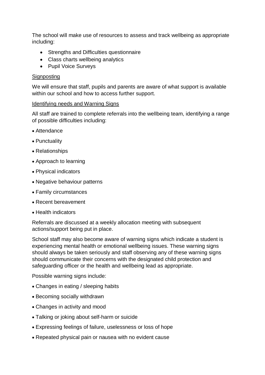The school will make use of resources to assess and track wellbeing as appropriate including:

- Strengths and Difficulties questionnaire
- Class charts wellbeing analytics
- Pupil Voice Surveys

## **Signposting**

We will ensure that staff, pupils and parents are aware of what support is available within our school and how to access further support.

#### Identifying needs and Warning Signs

All staff are trained to complete referrals into the wellbeing team, identifying a range of possible difficulties including:

- Attendance
- Punctuality
- Relationships
- Approach to learning
- Physical indicators
- Negative behaviour patterns
- Family circumstances
- Recent bereavement
- Health indicators

Referrals are discussed at a weekly allocation meeting with subsequent actions/support being put in place.

School staff may also become aware of warning signs which indicate a student is experiencing mental health or emotional wellbeing issues. These warning signs should always be taken seriously and staff observing any of these warning signs should communicate their concerns with the designated child protection and safeguarding officer or the health and wellbeing lead as appropriate.

Possible warning signs include:

- Changes in eating / sleeping habits
- Becoming socially withdrawn
- Changes in activity and mood
- Talking or joking about self-harm or suicide
- Expressing feelings of failure, uselessness or loss of hope
- Repeated physical pain or nausea with no evident cause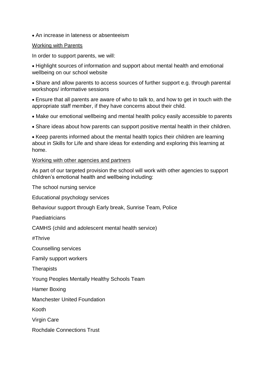• An increase in lateness or absenteeism

#### Working with Parents

In order to support parents, we will:

• Highlight sources of information and support about mental health and emotional wellbeing on our school website

• Share and allow parents to access sources of further support e.g. through parental workshops/ informative sessions

• Ensure that all parents are aware of who to talk to, and how to get in touch with the appropriate staff member, if they have concerns about their child.

- Make our emotional wellbeing and mental health policy easily accessible to parents
- Share ideas about how parents can support positive mental health in their children.

• Keep parents informed about the mental health topics their children are learning about in Skills for Life and share ideas for extending and exploring this learning at home.

#### Working with other agencies and partners

As part of our targeted provision the school will work with other agencies to support children's emotional health and wellbeing including:

The school nursing service

Educational psychology services

Behaviour support through Early break, Sunrise Team, Police

Paediatricians

CAMHS (child and adolescent mental health service)

#Thrive

Counselling services

Family support workers

**Therapists** 

Young Peoples Mentally Healthy Schools Team

Hamer Boxing

Manchester United Foundation

Kooth

Virgin Care

Rochdale Connections Trust